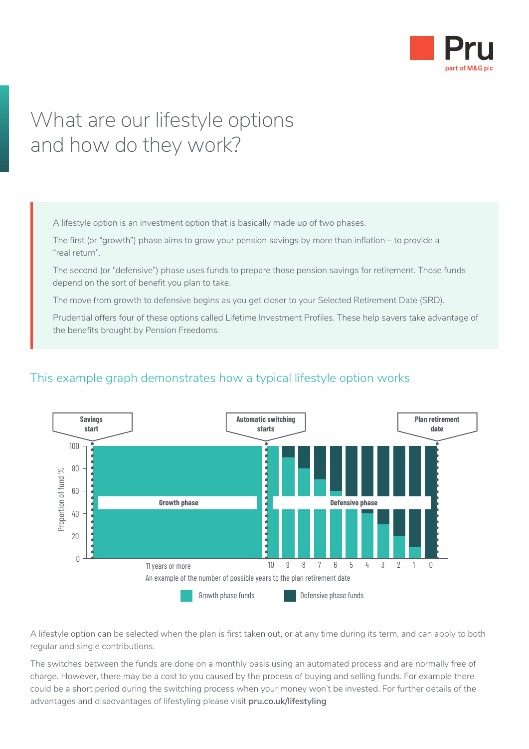

# What are our lifestyle options and how do they work?

A lifestyle option is an investment option that is basically made up of two phases.

The first (or "growth") phase aims to grow your pension savings by more than inflation – to provide a "real return".

The second (or "defensive") phase uses funds to prepare those pension savings for retirement. Those funds depend on the sort of benefit you plan to take.

The move from growth to defensive begins as you get closer to your Selected Retirement Date (SRD).

Prudential offers four of these options called Lifetime Investment Profiles. These help savers take advantage of the benefits brought by Pension Freedoms.



## This example graph demonstrates how a typical lifestyle option works

A lifestyle option can be selected when the plan is first taken out, or at any time during its term, and can apply to both regular and single contributions.

The switches between the funds are done on a monthly basis using an automated process and are normally free of charge. However, there may be a cost to you caused by the process of buying and selling funds. For example there could be a short period during the switching process when your money won't be invested. For further details of the advantages and disadvantages of lifestyling please visit **[pru.co.uk/lifestyling](https://www.pru.co.uk/lifestyling)**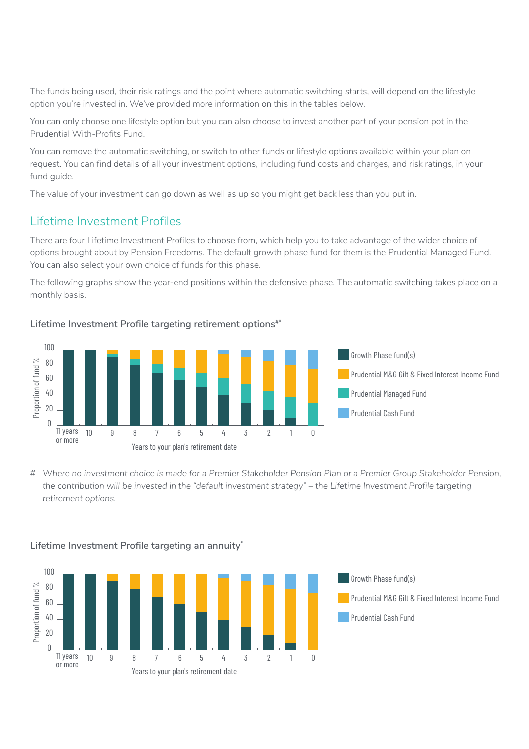The funds being used, their risk ratings and the point where automatic switching starts, will depend on the lifestyle option you're invested in. We've provided more information on this in the tables below.

You can only choose one lifestyle option but you can also choose to invest another part of your pension pot in the Prudential With-Profits Fund.

You can remove the automatic switching, or switch to other funds or lifestyle options available within your plan on request. You can find details of all your investment options, including fund costs and charges, and risk ratings, in your fund guide.

The value of your investment can go down as well as up so you might get back less than you put in.

### Lifetime Investment Profiles

There are four Lifetime Investment Profiles to choose from, which help you to take advantage of the wider choice of options brought about by Pension Freedoms. The default growth phase fund for them is the Prudential Managed Fund. You can also select your own choice of funds for this phase.

The following graphs show the year-end positions within the defensive phase. The automatic switching takes place on a monthly basis.

Lifetime Investment Profile targeting retirement options<sup>#\*</sup>



*# Where no investment choice is made for a Premier Stakeholder Pension Plan or a Premier Group Stakeholder Pension, the contribution will be invested in the "default investment strategy" – the Lifetime Investment Profile targeting retirement options.*



#### **Lifetime Investment Profile targeting an annuity\***

Growth Phase fund(s) ■■ Prudential M&G Gilt & Fixed Interest Income Fund ■ Prudential Cash Fund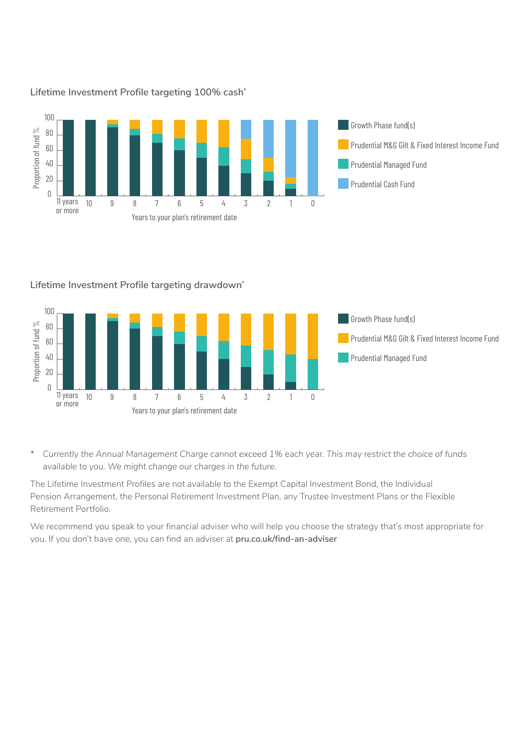

#### **Lifetime Investment Profile targeting 100% cash\***

#### **Lifetime Investment Profile targeting drawdown\***



*\* Currently the Annual Management Charge cannot exceed 1% each year. This may restrict the choice of funds available to you. We might change our charges in the future.*

The Lifetime Investment Profiles are not available to the Exempt Capital Investment Bond, the Individual Pension Arrangement, the Personal Retirement Investment Plan, any Trustee Investment Plans or the Flexible Retirement Portfolio.

We recommend you speak to your financial adviser who will help you choose the strategy that's most appropriate for you. If you don't have one, you can find an adviser at **[pru.co.uk/find-an-adviser](https://www.pru.co.uk/find-an-adviser)**